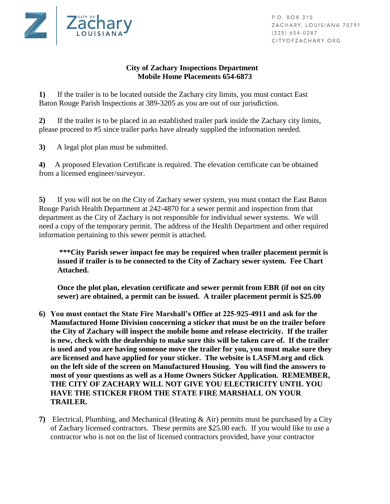

P.O. BOX 310 ZACHARY, LOUISIANA 70791  $(225) 654 - 0287$ CITYOFZACHARY.ORG

## **City of Zachary Inspections Department Mobile Home Placements 654-6873**

**1)** If the trailer is to be located outside the Zachary city limits, you must contact East Baton Rouge Parish Inspections at 389-3205 as you are out of our jurisdiction.

**2)** If the trailer is to be placed in an established trailer park inside the Zachary city limits, please proceed to #5 since trailer parks have already supplied the information needed.

**3)** A legal plot plan must be submitted.

**4)** A proposed Elevation Certificate is required. The elevation certificate can be obtained from a licensed engineer/surveyor.

**5)** If you will not be on the City of Zachary sewer system, you must contact the East Baton Rouge Parish Health Department at 242-4870 for a sewer permit and inspection from that department as the City of Zachary is not responsible for individual sewer systems. We will need a copy of the temporary permit. The address of the Health Department and other required information pertaining to this sewer permit is attached.

**\*\*\*City Parish sewer impact fee may be required when trailer placement permit is issued if trailer is to be connected to the City of Zachary sewer system. Fee Chart Attached.** 

**Once the plot plan, elevation certificate and sewer permit from EBR (if not on city sewer) are obtained, a permit can be issued. A trailer placement permit is \$25.00**

- **6) You must contact the State Fire Marshall's Office at 225-925-4911 and ask for the Manufactured Home Division concerning a sticker that must be on the trailer before the City of Zachary will inspect the mobile home and release electricity. If the trailer is new, check with the dealership to make sure this will be taken care of. If the trailer is used and you are having someone move the trailer for you, you must make sure they are licensed and have applied for your sticker. The website is LASFM.org and click on the left side of the screen on Manufactured Housing. You will find the answers to most of your questions as well as a Home Owners Sticker Application. REMEMBER, THE CITY OF ZACHARY WILL NOT GIVE YOU ELECTRICITY UNTIL YOU HAVE THE STICKER FROM THE STATE FIRE MARSHALL ON YOUR TRAILER.**
- **7)** Electrical, Plumbing, and Mechanical (Heating & Air) permits must be purchased by a City of Zachary licensed contractors. These permits are \$25.00 each. If you would like to use a contractor who is not on the list of licensed contractors provided, have your contractor